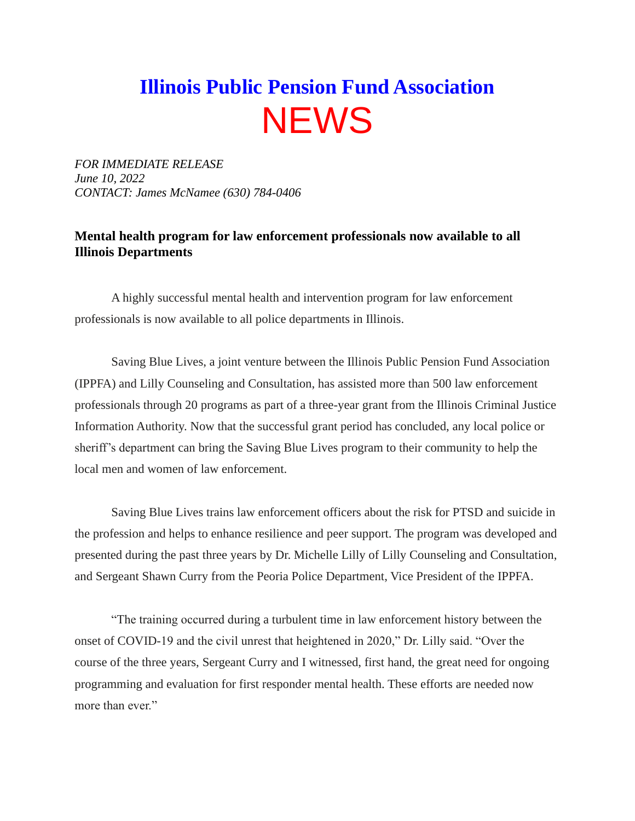## **Illinois Public Pension Fund Association NEWS**

*FOR IMMEDIATE RELEASE June 10, 2022 CONTACT: James McNamee (630) 784-0406*

## **Mental health program for law enforcement professionals now available to all Illinois Departments**

A highly successful mental health and intervention program for law enforcement professionals is now available to all police departments in Illinois.

Saving Blue Lives, a joint venture between the Illinois Public Pension Fund Association (IPPFA) and Lilly Counseling and Consultation, has assisted more than 500 law enforcement professionals through 20 programs as part of a three-year grant from the Illinois Criminal Justice Information Authority. Now that the successful grant period has concluded, any local police or sheriff's department can bring the Saving Blue Lives program to their community to help the local men and women of law enforcement.

Saving Blue Lives trains law enforcement officers about the risk for PTSD and suicide in the profession and helps to enhance resilience and peer support. The program was developed and presented during the past three years by Dr. Michelle Lilly of Lilly Counseling and Consultation, and Sergeant Shawn Curry from the Peoria Police Department, Vice President of the IPPFA.

"The training occurred during a turbulent time in law enforcement history between the onset of COVID-19 and the civil unrest that heightened in 2020," Dr. Lilly said. "Over the course of the three years, Sergeant Curry and I witnessed, first hand, the great need for ongoing programming and evaluation for first responder mental health. These efforts are needed now more than ever."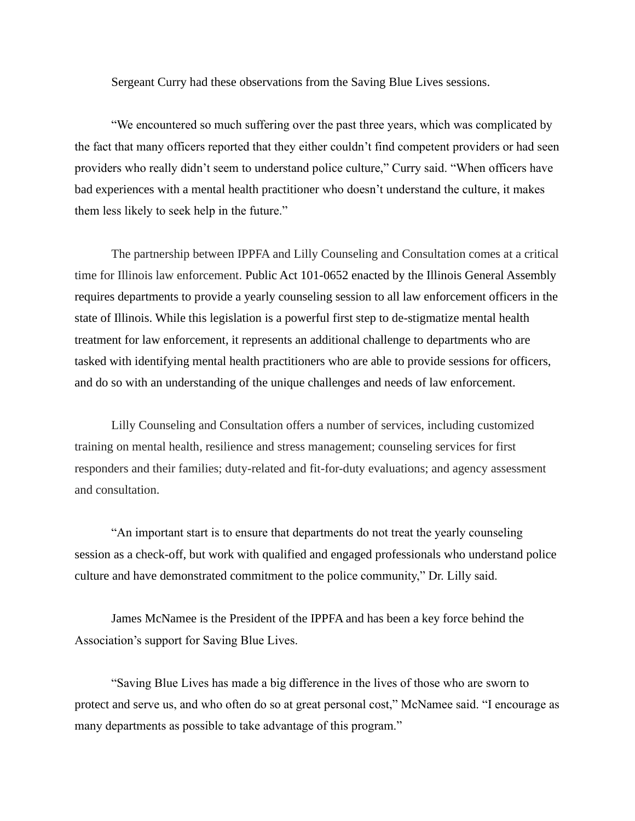Sergeant Curry had these observations from the Saving Blue Lives sessions.

"We encountered so much suffering over the past three years, which was complicated by the fact that many officers reported that they either couldn't find competent providers or had seen providers who really didn't seem to understand police culture," Curry said. "When officers have bad experiences with a mental health practitioner who doesn't understand the culture, it makes them less likely to seek help in the future."

The partnership between IPPFA and Lilly Counseling and Consultation comes at a critical time for Illinois law enforcement. Public Act 101-0652 enacted by the Illinois General Assembly requires departments to provide a yearly counseling session to all law enforcement officers in the state of Illinois. While this legislation is a powerful first step to de-stigmatize mental health treatment for law enforcement, it represents an additional challenge to departments who are tasked with identifying mental health practitioners who are able to provide sessions for officers, and do so with an understanding of the unique challenges and needs of law enforcement.

Lilly Counseling and Consultation offers a number of services, including customized training on mental health, resilience and stress management; counseling services for first responders and their families; duty-related and fit-for-duty evaluations; and agency assessment and consultation.

"An important start is to ensure that departments do not treat the yearly counseling session as a check-off, but work with qualified and engaged professionals who understand police culture and have demonstrated commitment to the police community," Dr. Lilly said.

James McNamee is the President of the IPPFA and has been a key force behind the Association's support for Saving Blue Lives.

"Saving Blue Lives has made a big difference in the lives of those who are sworn to protect and serve us, and who often do so at great personal cost," McNamee said. "I encourage as many departments as possible to take advantage of this program."